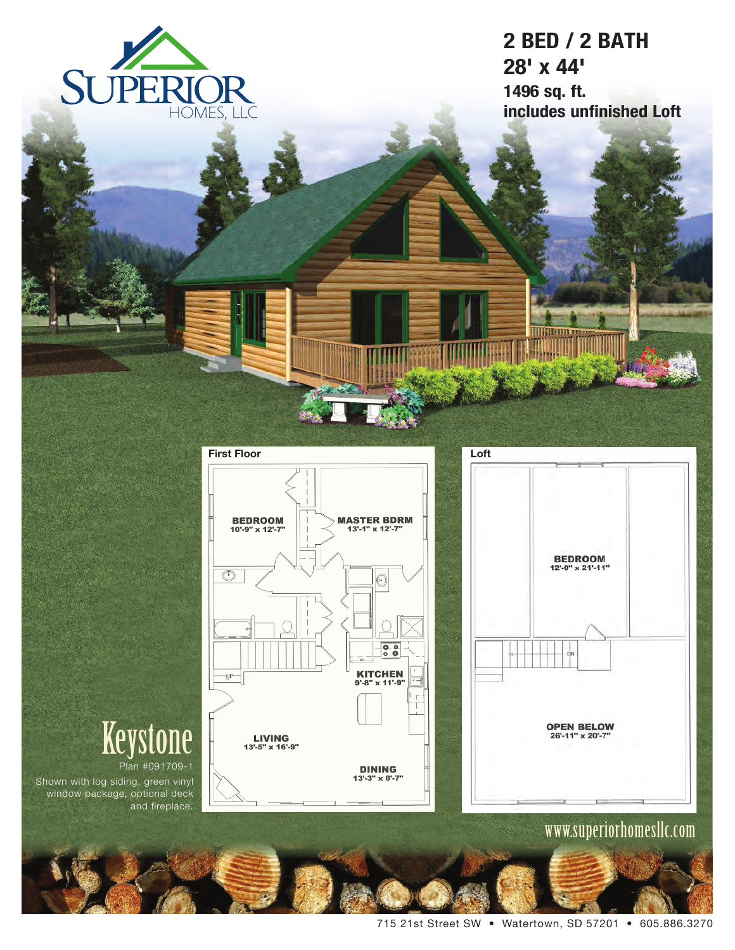

# **2 BED / 2 BATH 28' x 44' 1496 sq. ft. includes unfinished Loft**



# **Keystone**

Plan #091709-1 Shown with log siding, green vinyl window package, optional deck and fireplace.